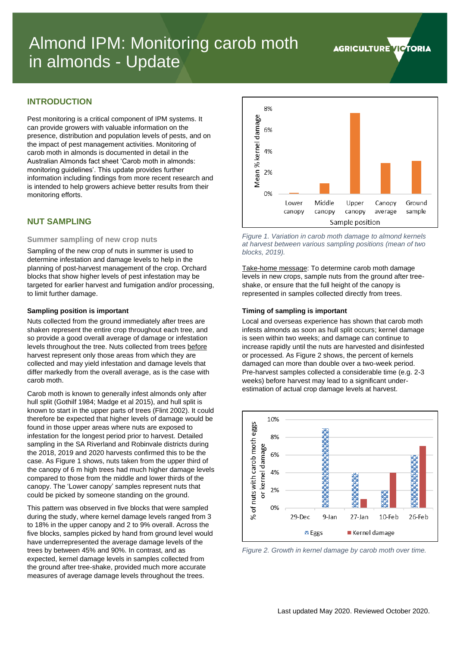# Almond IPM: Monitoring carob moth in almonds - Update

# **INTRODUCTION**

Pest monitoring is a critical component of IPM systems. It can provide growers with valuable information on the presence, distribution and population levels of pests, and on the impact of pest management activities. Monitoring of carob moth in almonds is documented in detail in the Australian Almonds fact sheet 'Carob moth in almonds: monitoring guidelines'. This update provides further information including findings from more recent research and is intended to help growers achieve better results from their monitoring efforts.

# **NUT SAMPLING**

#### **Summer sampling of new crop nuts**

Sampling of the new crop of nuts in summer is used to determine infestation and damage levels to help in the planning of post-harvest management of the crop. Orchard blocks that show higher levels of pest infestation may be targeted for earlier harvest and fumigation and/or processing, to limit further damage.

#### **Sampling position is important**

Nuts collected from the ground immediately after trees are shaken represent the entire crop throughout each tree, and so provide a good overall average of damage or infestation levels throughout the tree. Nuts collected from trees before harvest represent only those areas from which they are collected and may yield infestation and damage levels that differ markedly from the overall average, as is the case with carob moth.

Carob moth is known to generally infest almonds only after hull split (Gothilf 1984; Madge et al 2015), and hull split is known to start in the upper parts of trees (Flint 2002). It could therefore be expected that higher levels of damage would be found in those upper areas where nuts are exposed to infestation for the longest period prior to harvest. Detailed sampling in the SA Riverland and Robinvale districts during the 2018, 2019 and 2020 harvests confirmed this to be the case. As [Figure 1](#page-0-0) shows, nuts taken from the upper third of the canopy of 6 m high trees had much higher damage levels compared to those from the middle and lower thirds of the canopy. The 'Lower canopy' samples represent nuts that could be picked by someone standing on the ground.

This pattern was observed in five blocks that were sampled during the study, where kernel damage levels ranged from 3 to 18% in the upper canopy and 2 to 9% overall. Across the five blocks, samples picked by hand from ground level would have underrepresented the average damage levels of the trees by between 45% and 90%. In contrast, and as expected, kernel damage levels in samples collected from the ground after tree-shake, provided much more accurate measures of average damage levels throughout the trees.



<span id="page-0-0"></span>*Figure 1. Variation in carob moth damage to almond kernels at harvest between various sampling positions (mean of two blocks, 2019).*

Take-home message: To determine carob moth damage levels in new crops, sample nuts from the ground after treeshake, or ensure that the full height of the canopy is represented in samples collected directly from trees.

#### **Timing of sampling is important**

Local and overseas experience has shown that carob moth infests almonds as soon as hull split occurs; kernel damage is seen within two weeks; and damage can continue to increase rapidly until the nuts are harvested and disinfested or processed. As [Figure 2](#page-0-1) shows, the percent of kernels damaged can more than double over a two-week period. Pre-harvest samples collected a considerable time (e.g. 2-3 weeks) before harvest may lead to a significant underestimation of actual crop damage levels at harvest.



<span id="page-0-1"></span>*Figure 2. Growth in kernel damage by carob moth over time.*